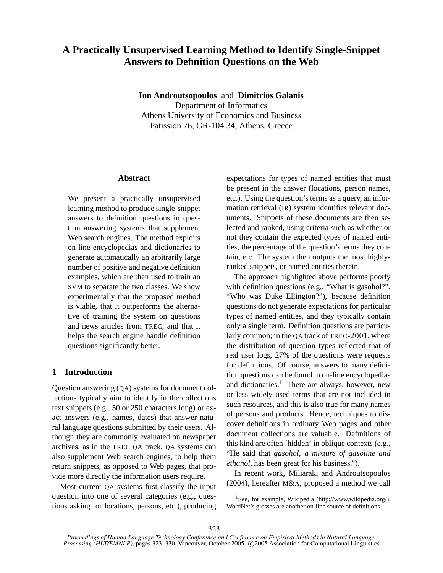# **A Practically Unsupervised Learning Method to Identify Single-Snippet Answers to Definition Questions on the Web**

**Ion Androutsopoulos** and **Dimitrios Galanis** Department of Informatics Athens University of Economics and Business Patission 76, GR-104 34, Athens, Greece

## **Abstract**

We present a practically unsupervised learning method to produce single-snippet answers to definition questions in question answering systems that supplement Web search engines. The method exploits on-line encyclopedias and dictionaries to generate automatically an arbitrarily large number of positive and negative definition examples, which are then used to train an SVM to separate the two classes. We show experimentally that the proposed method is viable, that it outperforms the alternative of training the system on questions and news articles from TREC, and that it helps the search engine handle definition questions significantly better.

# **1 Introduction**

Question answering (QA) systems for document collections typically aim to identify in the collections text snippets (e.g., 50 or 250 characters long) or exact answers (e.g., names, dates) that answer natural language questions submitted by their users. Although they are commonly evaluated on newspaper archives, as in the TREC QA track, QA systems can also supplement Web search engines, to help them return snippets, as opposed to Web pages, that provide more directly the information users require.

Most current QA systems first classify the input question into one of several categories (e.g., questions asking for locations, persons, etc.), producing expectations for types of named entities that must be present in the answer (locations, person names, etc.). Using the question's terms as a query, an information retrieval (IR) system identifies relevant documents. Snippets of these documents are then selected and ranked, using criteria such as whether or not they contain the expected types of named entities, the percentage of the question's terms they contain, etc. The system then outputs the most highlyranked snippets, or named entities therein.

The approach highlighted above performs poorly with definition questions (e.g., "What is gasohol?", "Who was Duke Ellington?"), because definition questions do not generate expectations for particular types of named entities, and they typically contain only a single term. Definition questions are particularly common; in the QA track of TREC-2001, where the distribution of question types reflected that of real user logs, 27% of the questions were requests for definitions. Of course, answers to many definition questions can be found in on-line encyclopedias and dictionaries. $<sup>1</sup>$  There are always, however, new</sup> or less widely used terms that are not included in such resources, and this is also true for many names of persons and products. Hence, techniques to discover definitions in ordinary Web pages and other document collections are valuable. Definitions of this kind are often 'hidden' in oblique contexts (e.g., "He said that *gasohol, a mixture of gasoline and ethanol*, has been great for his business.").

In recent work, Miliaraki and Androutsopoulos (2004), hereafter M&A, proposed a method we call

<sup>&</sup>lt;sup>1</sup>See, for example, Wikipedia (http://www.wikipedia.org/). WordNet's glosses are another on-line source of definitions.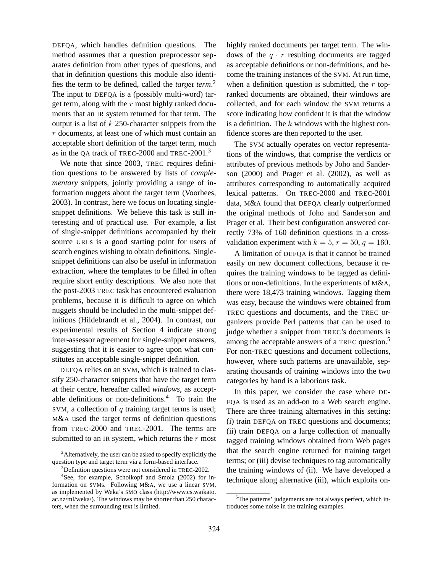DEFQA, which handles definition questions. The method assumes that a question preprocessor separates definition from other types of questions, and that in definition questions this module also identifies the term to be defined, called the *target term*. 2 The input to DEFQA is a (possibly multi-word) target term, along with the  $r$  most highly ranked documents that an IR system returned for that term. The output is a list of  $k$  250-character snippets from the r documents, at least one of which must contain an acceptable short definition of the target term, much as in the QA track of TREC-2000 and TREC-2001.<sup>3</sup>

We note that since 2003, TREC requires definition questions to be answered by lists of *complementary* snippets, jointly providing a range of information nuggets about the target term (Voorhees, 2003). In contrast, here we focus on locating singlesnippet definitions. We believe this task is still interesting and of practical use. For example, a list of single-snippet definitions accompanied by their source URLs is a good starting point for users of search engines wishing to obtain definitions. Singlesnippet definitions can also be useful in information extraction, where the templates to be filled in often require short entity descriptions. We also note that the post-2003 TREC task has encountered evaluation problems, because it is difficult to agree on which nuggets should be included in the multi-snippet definitions (Hildebrandt et al., 2004). In contrast, our experimental results of Section 4 indicate strong inter-assessor agreement for single-snippet answers, suggesting that it is easier to agree upon what constitutes an acceptable single-snippet definition.

DEFQA relies on an SVM, which is trained to classify 250-character snippets that have the target term at their centre, hereafter called *windows*, as acceptable definitions or non-definitions.<sup>4</sup> To train the SVM, a collection of  $q$  training target terms is used; M&A used the target terms of definition questions from TREC-2000 and TREC-2001. The terms are submitted to an IR system, which returns the  $r$  most highly ranked documents per target term. The windows of the  $q \cdot r$  resulting documents are tagged as acceptable definitions or non-definitions, and become the training instances of the SVM. At run time, when a definition question is submitted, the  $r$  topranked documents are obtained, their windows are collected, and for each window the SVM returns a score indicating how confident it is that the window is a definition. The  $k$  windows with the highest confidence scores are then reported to the user.

The SVM actually operates on vector representations of the windows, that comprise the verdicts or attributes of previous methods by Joho and Sanderson (2000) and Prager et al. (2002), as well as attributes corresponding to automatically acquired lexical patterns. On TREC-2000 and TREC-2001 data, M&A found that DEFQA clearly outperformed the original methods of Joho and Sanderson and Prager et al. Their best configuration answered correctly 73% of 160 definition questions in a crossvalidation experiment with  $k = 5$ ,  $r = 50$ ,  $q = 160$ .

A limitation of DEFQA is that it cannot be trained easily on new document collections, because it requires the training windows to be tagged as definitions or non-definitions. In the experiments of M&A, there were 18,473 training windows. Tagging them was easy, because the windows were obtained from TREC questions and documents, and the TREC organizers provide Perl patterns that can be used to judge whether a snippet from TREC's documents is among the acceptable answers of a TREC question.<sup>5</sup> For non-TREC questions and document collections, however, where such patterns are unavailable, separating thousands of training windows into the two categories by hand is a laborious task.

In this paper, we consider the case where DE-FQA is used as an add-on to a Web search engine. There are three training alternatives in this setting: (i) train DEFQA on TREC questions and documents; (ii) train DEFQA on a large collection of manually tagged training windows obtained from Web pages that the search engine returned for training target terms; or (iii) devise techniques to tag automatically the training windows of (ii). We have developed a technique along alternative (iii), which exploits on-

 $2$ Alternatively, the user can be asked to specify explicitly the question type and target term via a form-based interface.

<sup>&</sup>lt;sup>3</sup>Definition questions were not considered in TREC-2002.

<sup>4</sup> See, for example, Scholkopf and Smola (2002) for information on SVMs. Following M&A, we use a linear SVM, as implemented by Weka's SMO class (http://www.cs.waikato. ac.nz/ml/weka/). The windows may be shorter than 250 characters, when the surrounding text is limited.

<sup>&</sup>lt;sup>5</sup>The patterns' judgements are not always perfect, which introduces some noise in the training examples.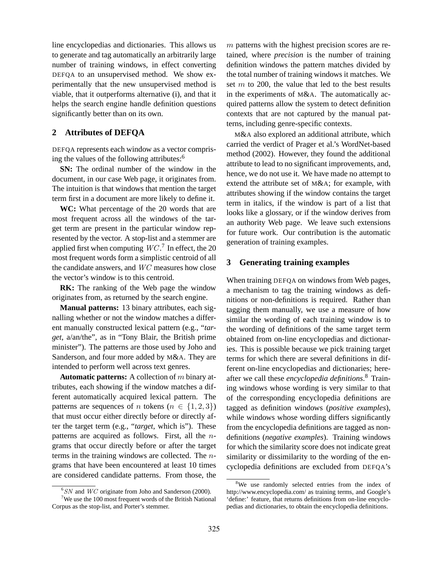line encyclopedias and dictionaries. This allows us to generate and tag automatically an arbitrarily large number of training windows, in effect converting DEFQA to an unsupervised method. We show experimentally that the new unsupervised method is viable, that it outperforms alternative (i), and that it helps the search engine handle definition questions significantly better than on its own.

## **2 Attributes of DEFQA**

DEFQA represents each window as a vector comprising the values of the following attributes:<sup>6</sup>

**SN:** The ordinal number of the window in the document, in our case Web page, it originates from. The intuition is that windows that mention the target term first in a document are more likely to define it.

**WC:** What percentage of the 20 words that are most frequent across all the windows of the target term are present in the particular window represented by the vector. A stop-list and a stemmer are applied first when computing  $WC<sup>7</sup>$  In effect, the 20 most frequent words form a simplistic centroid of all the candidate answers, and WC measures how close the vector's window is to this centroid.

**RK:** The ranking of the Web page the window originates from, as returned by the search engine.

**Manual patterns:** 13 binary attributes, each signalling whether or not the window matches a different manually constructed lexical pattern (e.g., "*target*, a/an/the", as in "Tony Blair, the British prime minister"). The patterns are those used by Joho and Sanderson, and four more added by M&A. They are intended to perform well across text genres.

**Automatic patterns:** A collection of m binary attributes, each showing if the window matches a different automatically acquired lexical pattern. The patterns are sequences of n tokens ( $n \in \{1, 2, 3\}$ ) that must occur either directly before or directly after the target term (e.g., "*target*, which is"). These patterns are acquired as follows. First, all the ngrams that occur directly before or after the target terms in the training windows are collected. The ngrams that have been encountered at least 10 times are considered candidate patterns. From those, the m patterns with the highest precision scores are retained, where *precision* is the number of training definition windows the pattern matches divided by the total number of training windows it matches. We set  $m$  to 200, the value that led to the best results in the experiments of M&A. The automatically acquired patterns allow the system to detect definition contexts that are not captured by the manual patterns, including genre-specific contexts.

M&A also explored an additional attribute, which carried the verdict of Prager et al.'s WordNet-based method (2002). However, they found the additional attribute to lead to no significant improvements, and, hence, we do not use it. We have made no attempt to extend the attribute set of M&A; for example, with attributes showing if the window contains the target term in italics, if the window is part of a list that looks like a glossary, or if the window derives from an authority Web page. We leave such extensions for future work. Our contribution is the automatic generation of training examples.

#### **3 Generating training examples**

When training DEFOA on windows from Web pages, a mechanism to tag the training windows as definitions or non-definitions is required. Rather than tagging them manually, we use a measure of how similar the wording of each training window is to the wording of definitions of the same target term obtained from on-line encyclopedias and dictionaries. This is possible because we pick training target terms for which there are several definitions in different on-line encyclopedias and dictionaries; hereafter we call these *encyclopedia definitions*. <sup>8</sup> Training windows whose wording is very similar to that of the corresponding encyclopedia definitions are tagged as definition windows (*positive examples*), while windows whose wording differs significantly from the encyclopedia definitions are tagged as nondefinitions (*negative examples*). Training windows for which the similarity score does not indicate great similarity or dissimilarity to the wording of the encyclopedia definitions are excluded from DEFQA's

 ${}^{6}S N$  and  $W C$  originate from Joho and Sanderson (2000).

<sup>&</sup>lt;sup>7</sup>We use the 100 most frequent words of the British National Corpus as the stop-list, and Porter's stemmer.

<sup>&</sup>lt;sup>8</sup>We use randomly selected entries from the index of http://www.encyclopedia.com/ as training terms, and Google's 'define:' feature, that returns definitions from on-line encyclopedias and dictionaries, to obtain the encyclopedia definitions.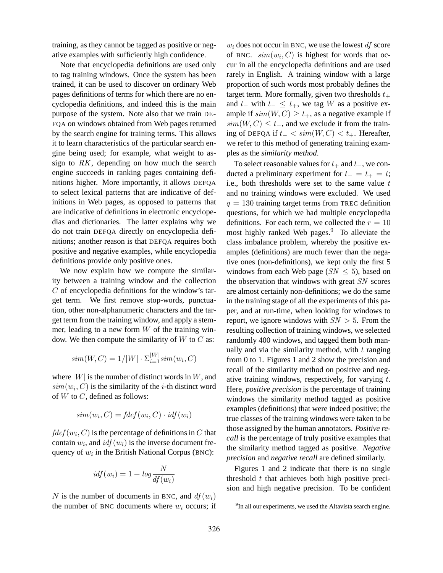training, as they cannot be tagged as positive or negative examples with sufficiently high confidence.

Note that encyclopedia definitions are used only to tag training windows. Once the system has been trained, it can be used to discover on ordinary Web pages definitions of terms for which there are no encyclopedia definitions, and indeed this is the main purpose of the system. Note also that we train DE-FQA on windows obtained from Web pages returned by the search engine for training terms. This allows it to learn characteristics of the particular search engine being used; for example, what weight to assign to  $RK$ , depending on how much the search engine succeeds in ranking pages containing definitions higher. More importantly, it allows DEFQA to select lexical patterns that are indicative of definitions in Web pages, as opposed to patterns that are indicative of definitions in electronic encyclopedias and dictionaries. The latter explains why we do not train DEFQA directly on encyclopedia definitions; another reason is that DEFQA requires both positive and negative examples, while encyclopedia definitions provide only positive ones.

We now explain how we compute the similarity between a training window and the collection  $C$  of encyclopedia definitions for the window's target term. We first remove stop-words, punctuation, other non-alphanumeric characters and the target term from the training window, and apply a stemmer, leading to a new form  $W$  of the training window. We then compute the similarity of  $W$  to  $C$  as:

$$
sim(W, C) = 1/|W| \cdot \Sigma_{i=1}^{|W|} sim(w_i, C)
$$

where  $|W|$  is the number of distinct words in W, and  $sim(w_i, C)$  is the similarity of the *i*-th distinct word of  $W$  to  $C$ , defined as follows:

$$
sim(w_i, C) = fdef(w_i, C) \cdot idf(w_i)
$$

 $fdef(w_i, C)$  is the percentage of definitions in C that contain  $w_i$ , and  $\textit{id} f(w_i)$  is the inverse document frequency of  $w_i$  in the British National Corpus (BNC):

$$
idf(w_i) = 1 + log \frac{N}{df(w_i)}
$$

N is the number of documents in BNC, and  $df(w_i)$ the number of BNC documents where  $w_i$  occurs; if  $w_i$  does not occur in BNC, we use the lowest df score of BNC.  $sim(w_i, C)$  is highest for words that occur in all the encyclopedia definitions and are used rarely in English. A training window with a large proportion of such words most probably defines the target term. More formally, given two thresholds  $t_{+}$ and  $t_$  with  $t_$  ≤  $t_+$ , we tag W as a positive example if  $sim(W, C) \geq t_{+}$ , as a negative example if  $sim(W, C) \leq t_{-}$ , and we exclude it from the training of DEFQA if  $t_$  <  $sim(W, C)$  <  $t_+$ . Hereafter, we refer to this method of generating training examples as the *similarity method*.

To select reasonable values for  $t_+$  and  $t_-,$  we conducted a preliminary experiment for  $t_ - = t_ + = t;$ i.e., both thresholds were set to the same value  $t$ and no training windows were excluded. We used  $q = 130$  training target terms from TREC definition questions, for which we had multiple encyclopedia definitions. For each term, we collected the  $r = 10$ most highly ranked Web pages.<sup>9</sup> To alleviate the class imbalance problem, whereby the positive examples (definitions) are much fewer than the negative ones (non-definitions), we kept only the first 5 windows from each Web page ( $SN \leq 5$ ), based on the observation that windows with great SN scores are almost certainly non-definitions; we do the same in the training stage of all the experiments of this paper, and at run-time, when looking for windows to report, we ignore windows with  $SN > 5$ . From the resulting collection of training windows, we selected randomly 400 windows, and tagged them both manually and via the similarity method, with  $t$  ranging from 0 to 1. Figures 1 and 2 show the precision and recall of the similarity method on positive and negative training windows, respectively, for varying  $t$ . Here, *positive precision* is the percentage of training windows the similarity method tagged as positive examples (definitions) that were indeed positive; the true classes of the training windows were taken to be those assigned by the human annotators. *Positive recall* is the percentage of truly positive examples that the similarity method tagged as positive. *Negative precision* and *negative recall* are defined similarly.

Figures 1 and 2 indicate that there is no single threshold  $t$  that achieves both high positive precision and high negative precision. To be confident

 $9$ In all our experiments, we used the Altavista search engine.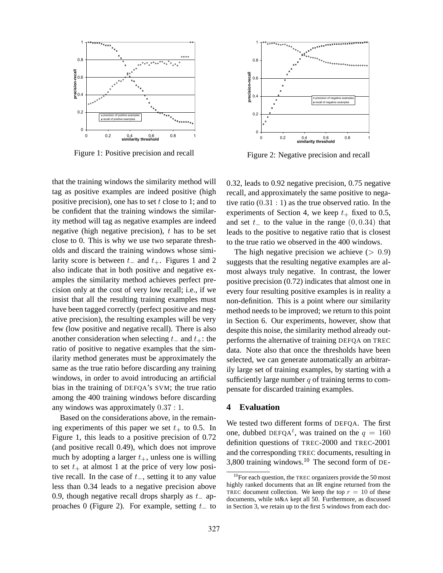

Figure 1: Positive precision and recall

that the training windows the similarity method will tag as positive examples are indeed positive (high positive precision), one has to set  $t$  close to 1; and to be confident that the training windows the similarity method will tag as negative examples are indeed negative (high negative precision),  $t$  has to be set close to 0. This is why we use two separate thresholds and discard the training windows whose similarity score is between  $t_$  and  $t_+$ . Figures 1 and 2 also indicate that in both positive and negative examples the similarity method achieves perfect precision only at the cost of very low recall; i.e., if we insist that all the resulting training examples must have been tagged correctly (perfect positive and negative precision), the resulting examples will be very few (low positive and negative recall). There is also another consideration when selecting  $t_$  and  $t_+$ : the ratio of positive to negative examples that the similarity method generates must be approximately the same as the true ratio before discarding any training windows, in order to avoid introducing an artificial bias in the training of DEFQA's SVM; the true ratio among the 400 training windows before discarding any windows was approximately 0.37 : 1.

Based on the considerations above, in the remaining experiments of this paper we set  $t_{+}$  to 0.5. In Figure 1, this leads to a positive precision of 0.72 (and positive recall 0.49), which does not improve much by adopting a larger  $t_{+}$ , unless one is willing to set  $t_{+}$  at almost 1 at the price of very low positive recall. In the case of  $t_$ , setting it to any value less than 0.34 leads to a negative precision above 0.9, though negative recall drops sharply as  $t_$  approaches 0 (Figure 2). For example, setting  $t_$  to



Figure 2: Negative precision and recall

0.32, leads to 0.92 negative precision, 0.75 negative recall, and approximately the same positive to negative ratio  $(0.31:1)$  as the true observed ratio. In the experiments of Section 4, we keep  $t_+$  fixed to 0.5, and set  $t_$  to the value in the range  $(0, 0.34)$  that leads to the positive to negative ratio that is closest to the true ratio we observed in the 400 windows.

The high negative precision we achieve  $(> 0.9)$ suggests that the resulting negative examples are almost always truly negative. In contrast, the lower positive precision (0.72) indicates that almost one in every four resulting positive examples is in reality a non-definition. This is a point where our similarity method needs to be improved; we return to this point in Section 6. Our experiments, however, show that despite this noise, the similarity method already outperforms the alternative of training DEFQA on TREC data. Note also that once the thresholds have been selected, we can generate automatically an arbitrarily large set of training examples, by starting with a sufficiently large number  $q$  of training terms to compensate for discarded training examples.

# **4 Evaluation**

We tested two different forms of DEFQA. The first one, dubbed DEFQA<sup>t</sup>, was trained on the  $q = 160$ definition questions of TREC-2000 and TREC-2001 and the corresponding TREC documents, resulting in 3,800 training windows.<sup>10</sup> The second form of DE-

 $10$ For each question, the TREC organizers provide the 50 most highly ranked documents that an IR engine returned from the TREC document collection. We keep the top  $r = 10$  of these documents, while M&A kept all 50. Furthermore, as discussed in Section 3, we retain up to the first 5 windows from each doc-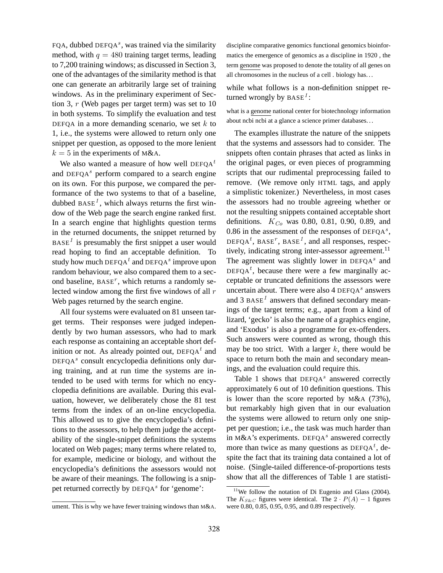FQA, dubbed DEFQA<sup>s</sup>, was trained via the similarity method, with  $q = 480$  training target terms, leading to 7,200 training windows; as discussed in Section 3, one of the advantages of the similarity method is that one can generate an arbitrarily large set of training windows. As in the preliminary experiment of Section 3,  $r$  (Web pages per target term) was set to 10 in both systems. To simplify the evaluation and test DEFQA in a more demanding scenario, we set  $k$  to 1, i.e., the systems were allowed to return only one snippet per question, as opposed to the more lenient  $k = 5$  in the experiments of M&A.

We also wanted a measure of how well DEFQA<sup>t</sup> and DEFQA $s$  perform compared to a search engine on its own. For this purpose, we compared the performance of the two systems to that of a baseline, dubbed  $BASE<sup>1</sup>$ , which always returns the first window of the Web page the search engine ranked first. In a search engine that highlights question terms in the returned documents, the snippet returned by  $BASE<sup>1</sup>$  is presumably the first snippet a user would read hoping to find an acceptable definition. To study how much DEFQA $^t$  and DEFQA $^s$  improve upon random behaviour, we also compared them to a second baseline,  $BASE<sup>r</sup>$ , which returns a randomly selected window among the first five windows of all  $r$ Web pages returned by the search engine.

All four systems were evaluated on 81 unseen target terms. Their responses were judged independently by two human assessors, who had to mark each response as containing an acceptable short definition or not. As already pointed out,  $DEFQA<sup>t</sup>$  and  $DEFQA<sup>s</sup>$  consult encyclopedia definitions only during training, and at run time the systems are intended to be used with terms for which no encyclopedia definitions are available. During this evaluation, however, we deliberately chose the 81 test terms from the index of an on-line encyclopedia. This allowed us to give the encyclopedia's definitions to the assessors, to help them judge the acceptability of the single-snippet definitions the systems located on Web pages; many terms where related to, for example, medicine or biology, and without the encyclopedia's definitions the assessors would not be aware of their meanings. The following is a snippet returned correctly by DEFQA<sup>s</sup> for 'genome':

discipline comparative genomics functional genomics bioinformatics the emergence of genomics as a discipline in 1920 , the term genome was proposed to denote the totality of all genes on all chromosomes in the nucleus of a cell . biology has. . .

while what follows is a non-definition snippet returned wrongly by  $BASE<sup>1</sup>$ :

what is a genome national center for biotechnology information about ncbi ncbi at a glance a science primer databases. . .

The examples illustrate the nature of the snippets that the systems and assessors had to consider. The snippets often contain phrases that acted as links in the original pages, or even pieces of programming scripts that our rudimental preprocessing failed to remove. (We remove only HTML tags, and apply a simplistic tokenizer.) Nevertheless, in most cases the assessors had no trouble agreeing whether or not the resulting snippets contained acceptable short definitions.  $K_{Co}$  was 0.80, 0.81, 0.90, 0.89, and 0.86 in the assessment of the responses of  $DEFQA^{s}$ , DEFQA<sup>t</sup>, BASE<sup>T</sup>, BASE<sup>1</sup>, and all responses, respectively, indicating strong inter-assessor agreement.<sup>11</sup> The agreement was slightly lower in  $DEFQA<sup>s</sup>$  and DEFQA<sup>t</sup>, because there were a few marginally acceptable or truncated definitions the assessors were uncertain about. There were also  $4$  DEFQA<sup>s</sup> answers and 3 BASE<sup>1</sup> answers that defined secondary meanings of the target terms; e.g., apart from a kind of lizard, 'gecko' is also the name of a graphics engine, and 'Exodus' is also a programme for ex-offenders. Such answers were counted as wrong, though this may be too strict. With a larger  $k$ , there would be space to return both the main and secondary meanings, and the evaluation could require this.

Table 1 shows that  $DEFQA^s$  answered correctly approximately 6 out of 10 definition questions. This is lower than the score reported by  $M&A$  (73%), but remarkably high given that in our evaluation the systems were allowed to return only one snippet per question; i.e., the task was much harder than in M&A's experiments. DEFQA<sup>s</sup> answered correctly more than twice as many questions as  $DEFQA^t$ , despite the fact that its training data contained a lot of noise. (Single-tailed difference-of-proportions tests show that all the differences of Table 1 are statisti-

ument. This is why we have fewer training windows than M&A.

 $11$ We follow the notation of Di Eugenio and Glass (2004). The  $K_{S\&C}$  figures were identical. The  $2 \cdot P(A) - 1$  figures were 0.80, 0.85, 0.95, 0.95, and 0.89 respectively.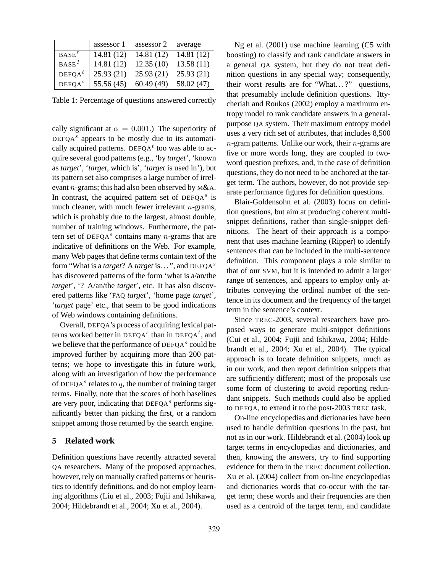|                    | assessor 1 | assessor 2 | average    |
|--------------------|------------|------------|------------|
| $BASE^r$           | 14.81(12)  | 14.81 (12) | 14.81(12)  |
| $BASE^1$           | 14.81(12)  | 12.35(10)  | 13.58(11)  |
| DEFOA <sup>t</sup> | 25.93(21)  | 25.93(21)  | 25.93(21)  |
| DEFQA <sup>s</sup> | 55.56 (45) | 60.49(49)  | 58.02 (47) |

Table 1: Percentage of questions answered correctly

cally significant at  $\alpha = 0.001$ .) The superiority of  $DEFQA<sup>s</sup>$  appears to be mostly due to its automatically acquired patterns. DEFQA $<sup>t</sup>$  too was able to ac-</sup> quire several good patterns (e.g., 'by *target*', 'known as *target*', '*target*, which is', '*target* is used in'), but its pattern set also comprises a large number of irrelevant n-grams; this had also been observed by M&A. In contrast, the acquired pattern set of  $DEFQA^s$  is much cleaner, with much fewer irrelevant  $n$ -grams, which is probably due to the largest, almost double, number of training windows. Furthermore, the pattern set of DEFQA<sup>s</sup> contains many  $n$ -grams that are indicative of definitions on the Web. For example, many Web pages that define terms contain text of the form "What is a *target*? A *target* is. . . ", and DEFQA<sup>s</sup> has discovered patterns of the form 'what is a/an/the *target*', '? A/an/the *target*', etc. It has also discovered patterns like 'FAQ *target*', 'home page *target*', '*target* page' etc., that seem to be good indications of Web windows containing definitions.

Overall, DEFQA's process of acquiring lexical patterns worked better in DEFQA<sup>s</sup> than in DEFQA<sup>t</sup>, and we believe that the performance of  $DEFQA<sup>s</sup>$  could be improved further by acquiring more than 200 patterns; we hope to investigate this in future work, along with an investigation of how the performance of DEFQA<sup>s</sup> relates to  $q$ , the number of training target terms. Finally, note that the scores of both baselines are very poor, indicating that  $DEFQA<sup>s</sup>$  performs significantly better than picking the first, or a random snippet among those returned by the search engine.

#### **5 Related work**

Definition questions have recently attracted several QA researchers. Many of the proposed approaches, however, rely on manually crafted patterns or heuristics to identify definitions, and do not employ learning algorithms (Liu et al., 2003; Fujii and Ishikawa, 2004; Hildebrandt et al., 2004; Xu et al., 2004).

Ng et al. (2001) use machine learning (C5 with boosting) to classify and rank candidate answers in a general QA system, but they do not treat definition questions in any special way; consequently, their worst results are for "What...?" questions, that presumably include definition questions. Ittycheriah and Roukos (2002) employ a maximum entropy model to rank candidate answers in a generalpurpose QA system. Their maximum entropy model uses a very rich set of attributes, that includes 8,500  $n$ -gram patterns. Unlike our work, their  $n$ -grams are five or more words long, they are coupled to twoword question prefixes, and, in the case of definition questions, they do not need to be anchored at the target term. The authors, however, do not provide separate performance figures for definition questions.

Blair-Goldensohn et al. (2003) focus on definition questions, but aim at producing coherent multisnippet definitions, rather than single-snippet definitions. The heart of their approach is a component that uses machine learning (Ripper) to identify sentences that can be included in the multi-sentence definition. This component plays a role similar to that of our SVM, but it is intended to admit a larger range of sentences, and appears to employ only attributes conveying the ordinal number of the sentence in its document and the frequency of the target term in the sentence's context.

Since TREC-2003, several researchers have proposed ways to generate multi-snippet definitions (Cui et al., 2004; Fujii and Ishikawa, 2004; Hildebrandt et al., 2004; Xu et al., 2004). The typical approach is to locate definition snippets, much as in our work, and then report definition snippets that are sufficiently different; most of the proposals use some form of clustering to avoid reporting redundant snippets. Such methods could also be applied to DEFQA, to extend it to the post-2003 TREC task.

On-line encyclopedias and dictionaries have been used to handle definition questions in the past, but not as in our work. Hildebrandt et al. (2004) look up target terms in encyclopedias and dictionaries, and then, knowing the answers, try to find supporting evidence for them in the TREC document collection. Xu et al. (2004) collect from on-line encyclopedias and dictionaries words that co-occur with the target term; these words and their frequencies are then used as a centroid of the target term, and candidate